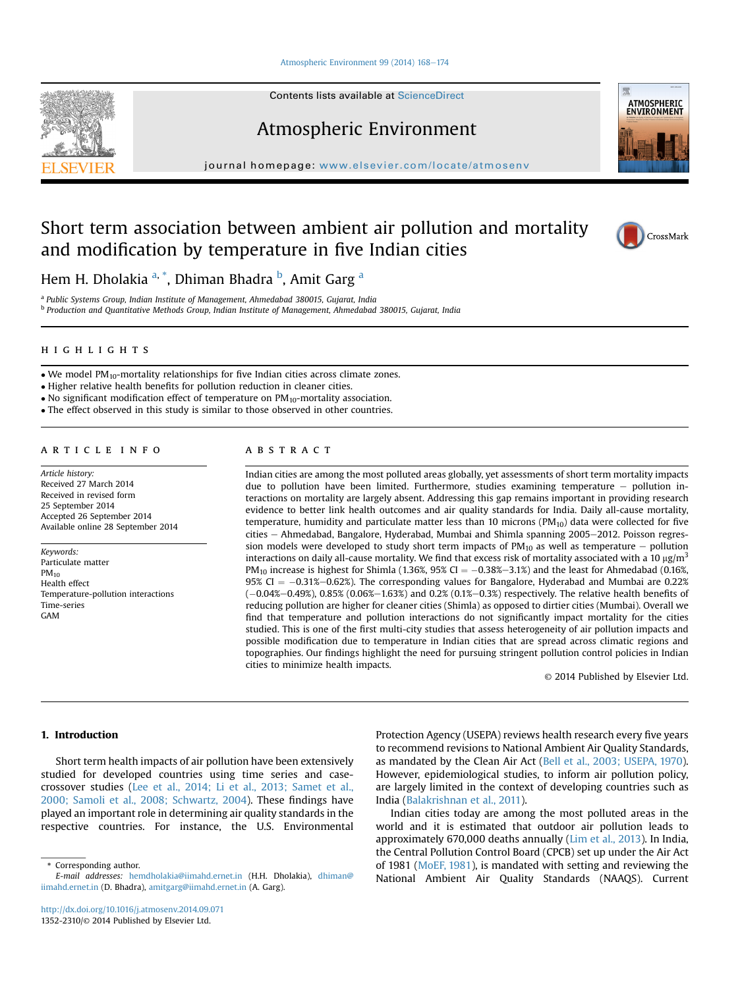#### [Atmospheric Environment 99 \(2014\) 168](http://dx.doi.org/10.1016/j.atmosenv.2014.09.071)-[174](http://dx.doi.org/10.1016/j.atmosenv.2014.09.071)

Contents lists available at ScienceDirect

# Atmospheric Environment

journal homepage: [www.elsevier.com/locate/atmosenv](http://www.elsevier.com/locate/atmosenv)

# Short term association between ambient air pollution and mortality and modification by temperature in five Indian cities

Hem H. Dholakia <sup>a, \*</sup>, Dhiman Bhadra <sup>b</sup>, Amit Garg <sup>a</sup>

<sup>a</sup> Public Systems Group, Indian Institute of Management, Ahmedabad 380015, Gujarat, India <sup>b</sup> Production and Quantitative Methods Group, Indian Institute of Management, Ahmedabad 380015, Gujarat, India

 $\bullet$  We model PM<sub>10</sub>-mortality relationships for five Indian cities across climate zones.

Higher relative health benefits for pollution reduction in cleaner cities.

 $\bullet$  No significant modification effect of temperature on PM<sub>10</sub>-mortality association.

The effect observed in this study is similar to those observed in other countries.

#### article info

Article history: Received 27 March 2014 Received in revised form 25 September 2014 Accepted 26 September 2014 Available online 28 September 2014

Keywords: Particulate matter  $PM_{10}$ Health effect Temperature-pollution interactions Time-series GAM

#### **ABSTRACT** abstract

Indian cities are among the most polluted areas globally, yet assessments of short term mortality impacts due to pollution have been limited. Furthermore, studies examining temperature  $-$  pollution interactions on mortality are largely absent. Addressing this gap remains important in providing research evidence to better link health outcomes and air quality standards for India. Daily all-cause mortality, temperature, humidity and particulate matter less than 10 microns  $(PM_{10})$  data were collected for five cities - Ahmedabad, Bangalore, Hyderabad, Mumbai and Shimla spanning 2005-2012. Poisson regression models were developed to study short term impacts of  $PM_{10}$  as well as temperature  $-$  pollution interactions on daily all-cause mortality. We find that excess risk of mortality associated with a 10  $\mu$ g/m<sup>3</sup> PM<sub>10</sub> increase is highest for Shimla (1.36%, 95% CI =  $-0.38\% -3.1\%$ ) and the least for Ahmedabad (0.16%, 95% CI  $= -0.31\% -0.62\%$ ). The corresponding values for Bangalore, Hyderabad and Mumbai are 0.22%  $(-0.04\% - 0.49\%)$ , 0.85%  $(0.06\% - 1.63\%)$  and 0.2%  $(0.1\% - 0.3\%)$  respectively. The relative health benefits of reducing pollution are higher for cleaner cities (Shimla) as opposed to dirtier cities (Mumbai). Overall we find that temperature and pollution interactions do not significantly impact mortality for the cities studied. This is one of the first multi-city studies that assess heterogeneity of air pollution impacts and possible modification due to temperature in Indian cities that are spread across climatic regions and topographies. Our findings highlight the need for pursuing stringent pollution control policies in Indian cities to minimize health impacts.

© 2014 Published by Elsevier Ltd.

# 1. Introduction

Short term health impacts of air pollution have been extensively studied for developed countries using time series and casecrossover studies [\(Lee et al., 2014; Li et al., 2013; Samet et al.,](#page-5-0) [2000; Samoli et al., 2008; Schwartz, 2004](#page-5-0)). These findings have played an important role in determining air quality standards in the respective countries. For instance, the U.S. Environmental

\* Corresponding author.

Protection Agency (USEPA) reviews health research every five years to recommend revisions to National Ambient Air Quality Standards, as mandated by the Clean Air Act [\(Bell et al., 2003; USEPA, 1970\)](#page-5-0). However, epidemiological studies, to inform air pollution policy, are largely limited in the context of developing countries such as India [\(Balakrishnan et al., 2011](#page-5-0)).

Indian cities today are among the most polluted areas in the world and it is estimated that outdoor air pollution leads to approximately 670,000 deaths annually [\(Lim et al., 2013\)](#page-5-0). In India, the Central Pollution Control Board (CPCB) set up under the Air Act of 1981 ([MoEF, 1981\)](#page-5-0), is mandated with setting and reviewing the National Ambient Air Quality Standards (NAAQS). Current







E-mail addresses: [hemdholakia@iimahd.ernet.in](mailto:hemdholakia@iimahd.ernet.in) (H.H. Dholakia), [dhiman@](mailto:dhiman@iimahd.ernet.in) [iimahd.ernet.in](mailto:dhiman@iimahd.ernet.in) (D. Bhadra), [amitgarg@iimahd.ernet.in](mailto:amitgarg@iimahd.ernet.in) (A. Garg).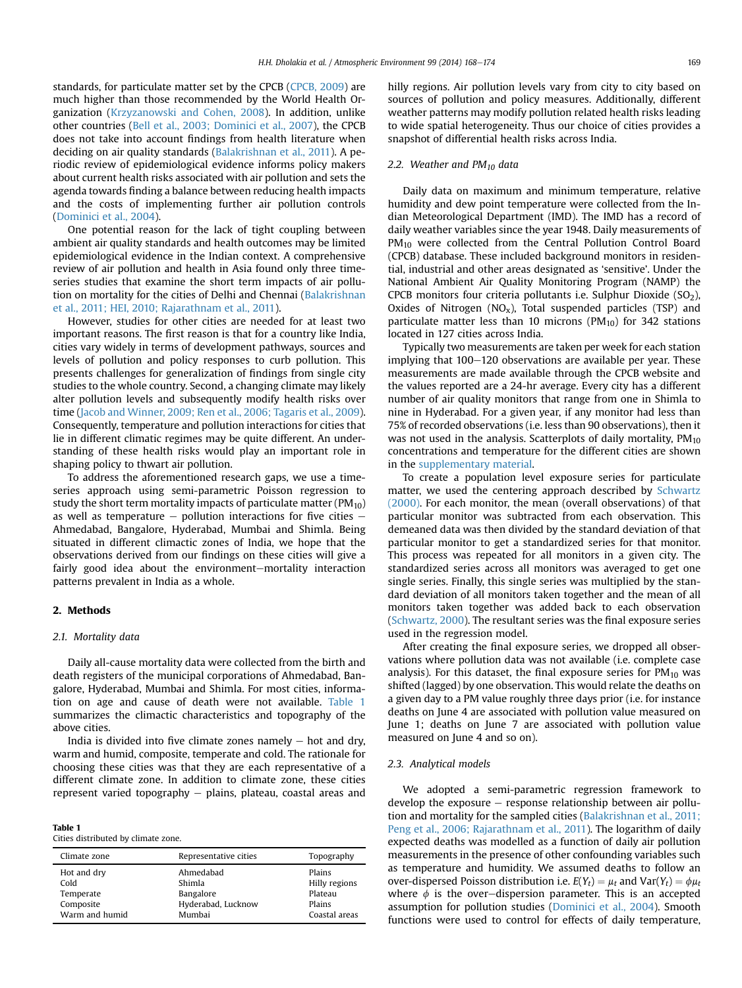standards, for particulate matter set by the CPCB [\(CPCB, 2009](#page-5-0)) are much higher than those recommended by the World Health Organization ([Krzyzanowski and Cohen, 2008](#page-5-0)). In addition, unlike other countries ([Bell et al., 2003; Dominici et al., 2007](#page-5-0)), the CPCB does not take into account findings from health literature when deciding on air quality standards [\(Balakrishnan et al., 2011](#page-5-0)). A periodic review of epidemiological evidence informs policy makers about current health risks associated with air pollution and sets the agenda towards finding a balance between reducing health impacts and the costs of implementing further air pollution controls ([Dominici et al., 2004](#page-5-0)).

One potential reason for the lack of tight coupling between ambient air quality standards and health outcomes may be limited epidemiological evidence in the Indian context. A comprehensive review of air pollution and health in Asia found only three timeseries studies that examine the short term impacts of air pollution on mortality for the cities of Delhi and Chennai ([Balakrishnan](#page-5-0) [et al., 2011; HEI, 2010; Rajarathnam et al., 2011\)](#page-5-0).

However, studies for other cities are needed for at least two important reasons. The first reason is that for a country like India, cities vary widely in terms of development pathways, sources and levels of pollution and policy responses to curb pollution. This presents challenges for generalization of findings from single city studies to the whole country. Second, a changing climate may likely alter pollution levels and subsequently modify health risks over time ([Jacob and Winner, 2009; Ren et al., 2006; Tagaris et al., 2009\)](#page-5-0). Consequently, temperature and pollution interactions for cities that lie in different climatic regimes may be quite different. An understanding of these health risks would play an important role in shaping policy to thwart air pollution.

To address the aforementioned research gaps, we use a timeseries approach using semi-parametric Poisson regression to study the short term mortality impacts of particulate matter ( $PM_{10}$ ) as well as temperature  $-$  pollution interactions for five cities  $-$ Ahmedabad, Bangalore, Hyderabad, Mumbai and Shimla. Being situated in different climactic zones of India, we hope that the observations derived from our findings on these cities will give a fairly good idea about the environment-mortality interaction patterns prevalent in India as a whole.

# 2. Methods

# 2.1. Mortality data

Daily all-cause mortality data were collected from the birth and death registers of the municipal corporations of Ahmedabad, Bangalore, Hyderabad, Mumbai and Shimla. For most cities, information on age and cause of death were not available. Table 1 summarizes the climactic characteristics and topography of the above cities.

India is divided into five climate zones namely  $-$  hot and dry, warm and humid, composite, temperate and cold. The rationale for choosing these cities was that they are each representative of a different climate zone. In addition to climate zone, these cities represent varied topography  $-$  plains, plateau, coastal areas and

Table 1

|  |  | Cities distributed by climate zone. |  |  |  |
|--|--|-------------------------------------|--|--|--|
|--|--|-------------------------------------|--|--|--|

| Climate zone   | Representative cities | Topography    |
|----------------|-----------------------|---------------|
| Hot and dry    | Ahmedabad             | Plains        |
| Cold           | Shimla                | Hilly regions |
| Temperate      | Bangalore             | Plateau       |
| Composite      | Hyderabad, Lucknow    | Plains        |
| Warm and humid | Mumbai                | Coastal areas |

hilly regions. Air pollution levels vary from city to city based on sources of pollution and policy measures. Additionally, different weather patterns may modify pollution related health risks leading to wide spatial heterogeneity. Thus our choice of cities provides a snapshot of differential health risks across India.

# 2.2. Weather and  $PM_{10}$  data

Daily data on maximum and minimum temperature, relative humidity and dew point temperature were collected from the Indian Meteorological Department (IMD). The IMD has a record of daily weather variables since the year 1948. Daily measurements of PM<sub>10</sub> were collected from the Central Pollution Control Board (CPCB) database. These included background monitors in residential, industrial and other areas designated as 'sensitive'. Under the National Ambient Air Quality Monitoring Program (NAMP) the CPCB monitors four criteria pollutants i.e. Sulphur Dioxide  $(SO<sub>2</sub>)$ , Oxides of Nitrogen ( $NO<sub>x</sub>$ ), Total suspended particles (TSP) and particulate matter less than 10 microns ( $PM_{10}$ ) for 342 stations located in 127 cities across India.

Typically two measurements are taken per week for each station implying that  $100-120$  observations are available per year. These measurements are made available through the CPCB website and the values reported are a 24-hr average. Every city has a different number of air quality monitors that range from one in Shimla to nine in Hyderabad. For a given year, if any monitor had less than 75% of recorded observations (i.e. less than 90 observations), then it was not used in the analysis. Scatterplots of daily mortality,  $PM_{10}$ concentrations and temperature for the different cities are shown in the supplementary material.

To create a population level exposure series for particulate matter, we used the centering approach described by [Schwartz](#page-5-0) [\(2000\)](#page-5-0). For each monitor, the mean (overall observations) of that particular monitor was subtracted from each observation. This demeaned data was then divided by the standard deviation of that particular monitor to get a standardized series for that monitor. This process was repeated for all monitors in a given city. The standardized series across all monitors was averaged to get one single series. Finally, this single series was multiplied by the standard deviation of all monitors taken together and the mean of all monitors taken together was added back to each observation ([Schwartz, 2000\)](#page-5-0). The resultant series was the final exposure series used in the regression model.

After creating the final exposure series, we dropped all observations where pollution data was not available (i.e. complete case analysis). For this dataset, the final exposure series for  $PM_{10}$  was shifted (lagged) by one observation. This would relate the deaths on a given day to a PM value roughly three days prior (i.e. for instance deaths on June 4 are associated with pollution value measured on June 1; deaths on June 7 are associated with pollution value measured on June 4 and so on).

# 2.3. Analytical models

We adopted a semi-parametric regression framework to develop the exposure  $-$  response relationship between air pollution and mortality for the sampled cities ([Balakrishnan et al., 2011;](#page-5-0) [Peng et al., 2006; Rajarathnam et al., 2011\)](#page-5-0). The logarithm of daily expected deaths was modelled as a function of daily air pollution measurements in the presence of other confounding variables such as temperature and humidity. We assumed deaths to follow an over-dispersed Poisson distribution i.e.  $E(Y_t) = \mu_t$  and Var(Y<sub>t</sub>) =  $\phi \mu_t$ where  $\phi$  is the over-dispersion parameter. This is an accepted assumption for pollution studies ([Dominici et al., 2004](#page-5-0)). Smooth functions were used to control for effects of daily temperature,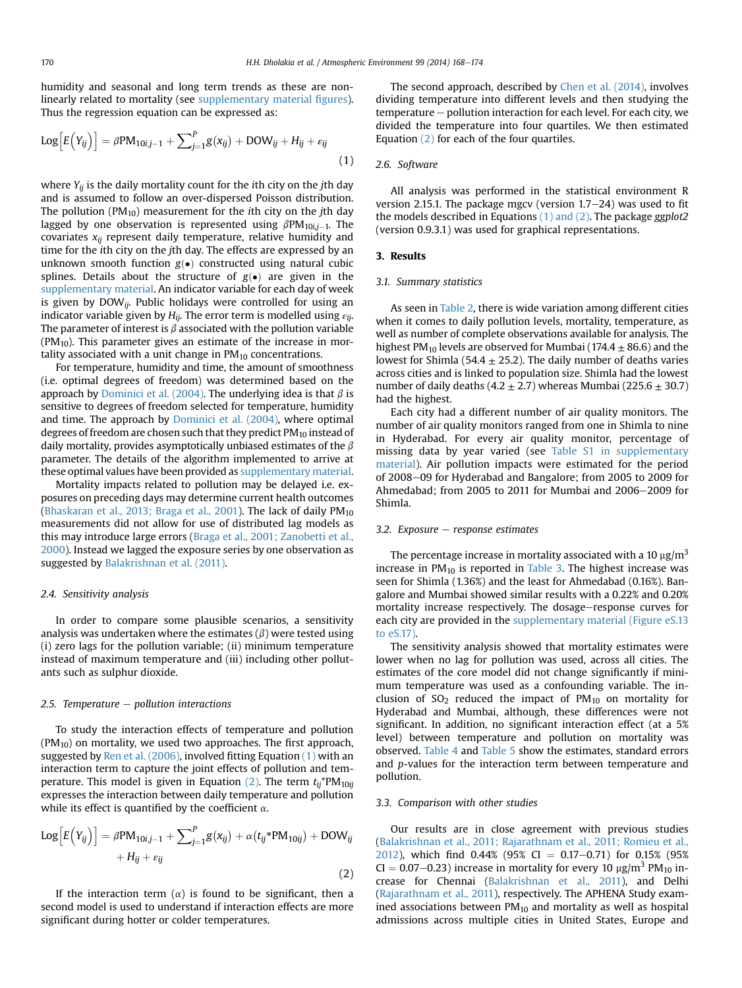humidity and seasonal and long term trends as these are nonlinearly related to mortality (see supplementary material figures). Thus the regression equation can be expressed as:

$$
Log\left[E(Y_{ij})\right] = \beta PM_{10ij-1} + \sum_{j=1}^{P} g(x_{ij}) + DOW_{ij} + H_{ij} + \varepsilon_{ij}
$$
\n(1)

where  $Y_{ii}$  is the daily mortality count for the *i*th city on the *i*th day and is assumed to follow an over-dispersed Poisson distribution. The pollution ( $PM_{10}$ ) measurement for the *i*th city on the *j*th day lagged by one observation is represented using  $\beta PM_{10i,j-1}$ . The covariates  $x_{ij}$  represent daily temperature, relative humidity and time for the ith city on the jth day. The effects are expressed by an unknown smooth function  $g(\bullet)$  constructed using natural cubic splines. Details about the structure of  $g(\bullet)$  are given in the supplementary material. An indicator variable for each day of week is given by  $DOW_{ij}$ . Public holidays were controlled for using an indicator variable given by  $H_{ij}$ . The error term is modelled using  $\varepsilon_{ij}$ . The parameter of interest is  $\beta$  associated with the pollution variable  $(PM_{10})$ . This parameter gives an estimate of the increase in mortality associated with a unit change in  $PM_{10}$  concentrations.

For temperature, humidity and time, the amount of smoothness (i.e. optimal degrees of freedom) was determined based on the approach by [Dominici et al. \(2004\)](#page-5-0). The underlying idea is that  $\beta$  is sensitive to degrees of freedom selected for temperature, humidity and time. The approach by [Dominici et al. \(2004\)](#page-5-0), where optimal degrees of freedom are chosen such that they predict PM<sub>10</sub> instead of daily mortality, provides asymptotically unbiased estimates of the  $\beta$ parameter. The details of the algorithm implemented to arrive at these optimal values have been provided as supplementary material.

Mortality impacts related to pollution may be delayed i.e. exposures on preceding days may determine current health outcomes ([Bhaskaran et al., 2013; Braga et al., 2001](#page-5-0)). The lack of daily  $PM_{10}$ measurements did not allow for use of distributed lag models as this may introduce large errors [\(Braga et al., 2001; Zanobetti et al.,](#page-5-0) [2000](#page-5-0)). Instead we lagged the exposure series by one observation as suggested by [Balakrishnan et al. \(2011\).](#page-5-0)

# 2.4. Sensitivity analysis

In order to compare some plausible scenarios, a sensitivity analysis was undertaken where the estimates  $(\beta)$  were tested using (i) zero lags for the pollution variable; (ii) minimum temperature instead of maximum temperature and (iii) including other pollutants such as sulphur dioxide.

#### 2.5. Temperature  $-$  pollution interactions

To study the interaction effects of temperature and pollution  $(PM_{10})$  on mortality, we used two approaches. The first approach, suggested by Ren et al.  $(2006)$ , involved fitting Equation  $(1)$  with an interaction term to capture the joint effects of pollution and temperature. This model is given in Equation (2). The term  $t_{ij}$ <sup>\*</sup>PM<sub>10ii</sub> expresses the interaction between daily temperature and pollution while its effect is quantified by the coefficient  $\alpha$ .

$$
Log\left[E(Y_{ij})\right] = \beta PM_{10ij-1} + \sum_{j=1}^{P} g(x_{ij}) + \alpha(t_{ij} * PM_{10ij}) + DOW_{ij} + H_{ij} + \varepsilon_{ij}
$$
\n(2)

If the interaction term  $(\alpha)$  is found to be significant, then a second model is used to understand if interaction effects are more significant during hotter or colder temperatures.

The second approach, described by [Chen et al. \(2014\)](#page-5-0), involves dividing temperature into different levels and then studying the temperature - pollution interaction for each level. For each city, we divided the temperature into four quartiles. We then estimated Equation (2) for each of the four quartiles.

# 2.6. Software

All analysis was performed in the statistical environment R version 2.15.1. The package mgcv (version  $1.7-24$ ) was used to fit the models described in Equations  $(1)$  and  $(2)$ . The package ggplot2 (version 0.9.3.1) was used for graphical representations.

#### 3. Results

#### 3.1. Summary statistics

As seen in [Table 2](#page-3-0), there is wide variation among different cities when it comes to daily pollution levels, mortality, temperature, as well as number of complete observations available for analysis. The highest PM<sub>10</sub> levels are observed for Mumbai (174.4  $\pm$  86.6) and the lowest for Shimla (54.4  $\pm$  25.2). The daily number of deaths varies across cities and is linked to population size. Shimla had the lowest number of daily deaths  $(4.2 \pm 2.7)$  whereas Mumbai  $(225.6 \pm 30.7)$ had the highest.

Each city had a different number of air quality monitors. The number of air quality monitors ranged from one in Shimla to nine in Hyderabad. For every air quality monitor, percentage of missing data by year varied (see Table S1 in supplementary material). Air pollution impacts were estimated for the period of 2008-09 for Hyderabad and Bangalore; from 2005 to 2009 for Ahmedabad; from 2005 to 2011 for Mumbai and 2006 $-$ 2009 for Shimla.

#### 3.2. Exposure  $-$  response estimates

The percentage increase in mortality associated with a 10  $\mu$ g/m<sup>3</sup> increase in  $PM_{10}$  is reported in [Table 3](#page-3-0). The highest increase was seen for Shimla (1.36%) and the least for Ahmedabad (0.16%). Bangalore and Mumbai showed similar results with a 0.22% and 0.20% mortality increase respectively. The dosage-response curves for each city are provided in the supplementary material (Figure eS.13) to eS.17).

The sensitivity analysis showed that mortality estimates were lower when no lag for pollution was used, across all cities. The estimates of the core model did not change significantly if minimum temperature was used as a confounding variable. The inclusion of  $SO_2$  reduced the impact of  $PM_{10}$  on mortality for Hyderabad and Mumbai, although, these differences were not significant. In addition, no significant interaction effect (at a 5% level) between temperature and pollution on mortality was observed. [Table 4](#page-3-0) and [Table 5](#page-3-0) show the estimates, standard errors and *p*-values for the interaction term between temperature and pollution.

### 3.3. Comparison with other studies

Our results are in close agreement with previous studies ([Balakrishnan et al., 2011; Rajarathnam et al., 2011; Romieu et al.,](#page-5-0) [2012](#page-5-0)), which find 0.44% (95% CI = 0.17-0.71) for 0.15% (95%  $CI = 0.07-0.23$ ) increase in mortality for every 10  $\mu$ g/m<sup>3</sup> PM<sub>10</sub> increase for Chennai [\(Balakrishnan et al., 2011](#page-5-0)), and Delhi ([Rajarathnam et al., 2011\)](#page-5-0), respectively. The APHENA Study examined associations between  $PM_{10}$  and mortality as well as hospital admissions across multiple cities in United States, Europe and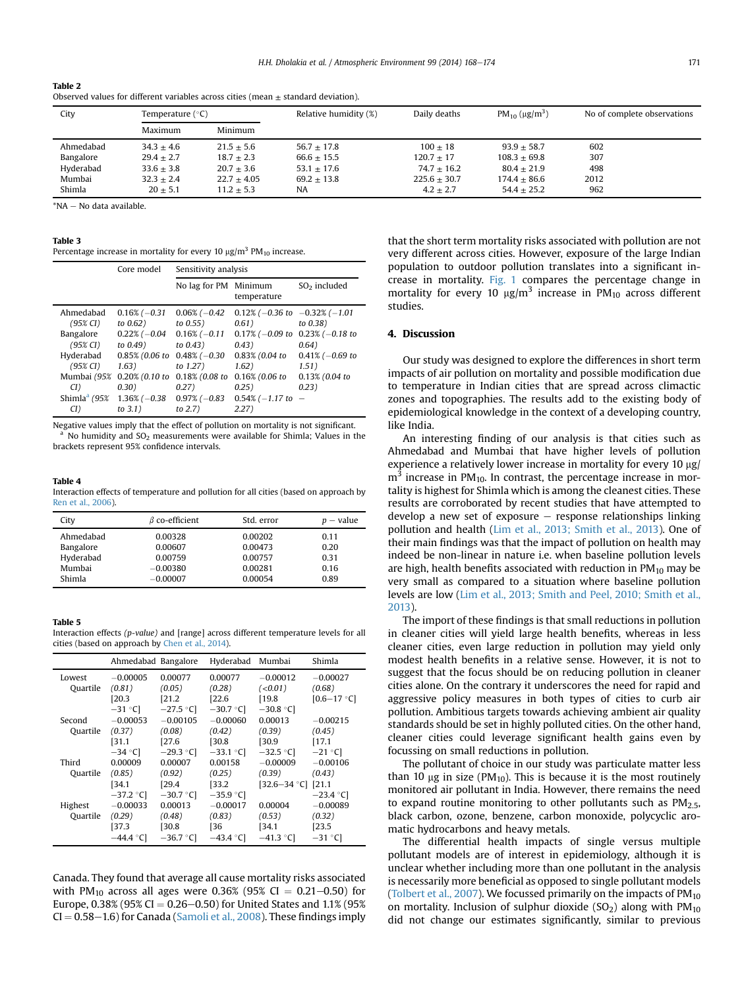<span id="page-3-0"></span>

| Table 2                                                                                |
|----------------------------------------------------------------------------------------|
| Observed values for different variables across cities (mean $\pm$ standard deviation). |

| City      | Temperature (°C) |               | Relative humidity (%) | Daily deaths   | PM <sub>10</sub> ( $\mu$ g/m <sup>3</sup> ) | No of complete observations |
|-----------|------------------|---------------|-----------------------|----------------|---------------------------------------------|-----------------------------|
|           | Maximum          | Minimum       |                       |                |                                             |                             |
| Ahmedabad | $34.3 + 4.6$     | $21.5 + 5.6$  | $56.7 + 17.8$         | $100 + 18$     | $93.9 + 58.7$                               | 602                         |
| Bangalore | $29.4 + 2.7$     | $18.7 + 2.3$  | $66.6 \pm 15.5$       | $120.7 + 17$   | $108.3 + 69.8$                              | 307                         |
| Hyderabad | $33.6 + 3.8$     | $20.7 + 3.6$  | $53.1 \pm 17.6$       | $74.7 + 16.2$  | $80.4 + 21.9$                               | 498                         |
| Mumbai    | $32.3 + 2.4$     | $22.7 + 4.05$ | $69.2 \pm 13.8$       | $225.6 + 30.7$ | $174.4 + 86.6$                              | 2012                        |
| Shimla    | $20 + 5.1$       | $11.2 + 5.3$  | NA.                   | $4.2 + 2.7$    | $54.4 + 25.2$                               | 962                         |

 $*NA = No$  data available.

#### Table 3

Percentage increase in mortality for every 10  $\mu$ g/m<sup>3</sup> PM<sub>10</sub> increase.

|                                                                                                                                             | Core model                                                                                                                                               | Sensitivity analysis                                                                                                                                |                                                                                                                                                                              |                                                                                   |  |
|---------------------------------------------------------------------------------------------------------------------------------------------|----------------------------------------------------------------------------------------------------------------------------------------------------------|-----------------------------------------------------------------------------------------------------------------------------------------------------|------------------------------------------------------------------------------------------------------------------------------------------------------------------------------|-----------------------------------------------------------------------------------|--|
|                                                                                                                                             |                                                                                                                                                          | No lag for PM Minimum                                                                                                                               | temperature                                                                                                                                                                  | $SO2$ included                                                                    |  |
| Ahmedabad<br>$(95\% \text{ CI})$<br>Bangalore<br>$(95\% \text{ CI})$<br>Hyderabad<br>$(95\% \text{ CI})$<br>CD)<br>Shimla <sup>a</sup> (95% | $0.16\%$ (-0.31)<br>to 0.62)<br>$0.22\%$ ( $-0.04$<br>to $0.49$ )<br>0.85% (0.06 to<br>1.63)<br>Mumbai (95% 0.20% (0.10 to<br>(0.30)<br>$1.36\% (-0.38)$ | $0.06\%$ (-0.42)<br>to 0.55)<br>$0.16\%$ (-0.11)<br>to $0.43$ )<br>$0.48\%$ (-0.30<br>to $1.27$ )<br>$0.18\%$ (0.08 to<br>0.27)<br>$0.97\%$ (-0.83) | $0.12\%$ (-0.36 to -0.32\% (-1.01)<br>0.61)<br>$0.17\%$ (-0.09 to 0.23% (-0.18 to<br>0.43)<br>$0.83\%$ (0.04 to<br>1.62)<br>$0.16\%$ (0.06 to<br>0.25)<br>$0.54\%$ (-1.17 to | to $0.38$ )<br>0.64)<br>$0.41\%$ (-0.69 to<br>1.51)<br>$0.13\%$ (0.04 to<br>0.23) |  |
| CI)                                                                                                                                         | to $3.1$ )                                                                                                                                               | to $2.7$ )                                                                                                                                          | 2.27)                                                                                                                                                                        |                                                                                   |  |

Negative values imply that the effect of pollution on mortality is not significant. <sup>a</sup> No humidity and SO<sub>2</sub> measurements were available for Shimla; Values in the brackets represent 95% confidence intervals.

# Table 4

Interaction effects of temperature and pollution for all cities (based on approach by [Ren et al., 2006\)](#page-5-0).

| City      | $\beta$ co-efficient | Std. error | $p$ – value |
|-----------|----------------------|------------|-------------|
| Ahmedabad | 0.00328              | 0.00202    | 0.11        |
| Bangalore | 0.00607              | 0.00473    | 0.20        |
| Hyderabad | 0.00759              | 0.00757    | 0.31        |
| Mumbai    | $-0.00380$           | 0.00281    | 0.16        |
| Shimla    | $-0.00007$           | 0.00054    | 0.89        |

#### Table 5

Interaction effects (p-value) and [range] across different temperature levels for all cities (based on approach by [Chen et al., 2014](#page-5-0)).

|          |             | Ahmedabad Bangalore | Hyderabad   | Mumbai                         | Shimla          |
|----------|-------------|---------------------|-------------|--------------------------------|-----------------|
| Lowest   | $-0.00005$  | 0.00077             | 0.00077     | $-0.00012$                     | $-0.00027$      |
| Quartile | (0.81)      | (0.05)              | (0.28)      | (<0.01)                        | (0.68)          |
|          | [20.3]      | [21.2]              | [22.6]      | [19.8]                         | $[0.6 - 17 °C]$ |
|          | $-31$ °C]   | $-27.5$ °C          | $-30.7$ °C  | $-30.8$ °C                     |                 |
| Second   | $-0.00053$  | $-0.00105$          | $-0.00060$  | 0.00013                        | $-0.00215$      |
| Quartile | (0.37)      | (0.08)              | (0.42)      | (0.39)                         | (0.45)          |
|          | [31.1]      | [27.6]              | [30.8]      | [30.9]                         | [17.1]          |
|          | $-34$ °C    | $-29.3$ °C          | $-33.1$ °C  | $-32.5$ °C]                    | $-21$ °C        |
| Third    | 0.00009     | 0.00007             | 0.00158     | $-0.00009$                     | $-0.00106$      |
| Quartile | (0.85)      | (0.92)              | (0.25)      | (0.39)                         | (0.43)          |
|          | [34.1]      | [29.4]              | [33.2]      | $[32.6 - 34 \degree C]$ [21.1] |                 |
|          | $-37.2$ °C] | $-30.7$ °C          | $-35.9$ °C] |                                | $-23.4 °C$      |
| Highest  | $-0.00033$  | 0.00013             | $-0.00017$  | 0.00004                        | $-0.00089$      |
| Quartile | (0.29)      | (0.48)              | (0.83)      | (0.53)                         | (0.32)          |
|          | [37.3]      | $[30.8]$            | [36         | [34.1                          | [23.5]          |
|          | $-44.4$ °Cl | $-36.7$ °Cl         | $-43.4$ °Cl | $-41.3$ °C                     | $-31$ °C        |

Canada. They found that average all cause mortality risks associated with PM<sub>10</sub> across all ages were 0.36% (95% CI = 0.21-0.50) for Europe, 0.38% (95% CI = 0.26–0.50) for United States and 1.1% (95%  $CI = 0.58-1.6$  for Canada ([Samoli et al., 2008\)](#page-5-0). These findings imply that the short term mortality risks associated with pollution are not very different across cities. However, exposure of the large Indian population to outdoor pollution translates into a significant increase in mortality. [Fig. 1](#page-4-0) compares the percentage change in mortality for every 10  $\mu$ g/m<sup>3</sup> increase in PM<sub>10</sub> across different studies.

# 4. Discussion

Our study was designed to explore the differences in short term impacts of air pollution on mortality and possible modification due to temperature in Indian cities that are spread across climactic zones and topographies. The results add to the existing body of epidemiological knowledge in the context of a developing country, like India.

An interesting finding of our analysis is that cities such as Ahmedabad and Mumbai that have higher levels of pollution experience a relatively lower increase in mortality for every 10 µg/  $m<sup>3</sup>$  increase in PM<sub>10</sub>. In contrast, the percentage increase in mortality is highest for Shimla which is among the cleanest cities. These results are corroborated by recent studies that have attempted to develop a new set of exposure  $-$  response relationships linking pollution and health [\(Lim et al., 2013; Smith et al., 2013](#page-5-0)). One of their main findings was that the impact of pollution on health may indeed be non-linear in nature i.e. when baseline pollution levels are high, health benefits associated with reduction in  $PM_{10}$  may be very small as compared to a situation where baseline pollution levels are low [\(Lim et al., 2013; Smith and Peel, 2010; Smith et al.,](#page-5-0) [2013\)](#page-5-0).

The import of these findings is that small reductions in pollution in cleaner cities will yield large health benefits, whereas in less cleaner cities, even large reduction in pollution may yield only modest health benefits in a relative sense. However, it is not to suggest that the focus should be on reducing pollution in cleaner cities alone. On the contrary it underscores the need for rapid and aggressive policy measures in both types of cities to curb air pollution. Ambitious targets towards achieving ambient air quality standards should be set in highly polluted cities. On the other hand, cleaner cities could leverage significant health gains even by focussing on small reductions in pollution.

The pollutant of choice in our study was particulate matter less than 10  $\mu$ g in size (PM<sub>10</sub>). This is because it is the most routinely monitored air pollutant in India. However, there remains the need to expand routine monitoring to other pollutants such as  $PM<sub>2.5</sub>$ , black carbon, ozone, benzene, carbon monoxide, polycyclic aromatic hydrocarbons and heavy metals.

The differential health impacts of single versus multiple pollutant models are of interest in epidemiology, although it is unclear whether including more than one pollutant in the analysis is necessarily more beneficial as opposed to single pollutant models ([Tolbert et al., 2007\)](#page-6-0). We focussed primarily on the impacts of  $PM_{10}$ on mortality. Inclusion of sulphur dioxide  $(SO<sub>2</sub>)$  along with  $PM<sub>10</sub>$ did not change our estimates significantly, similar to previous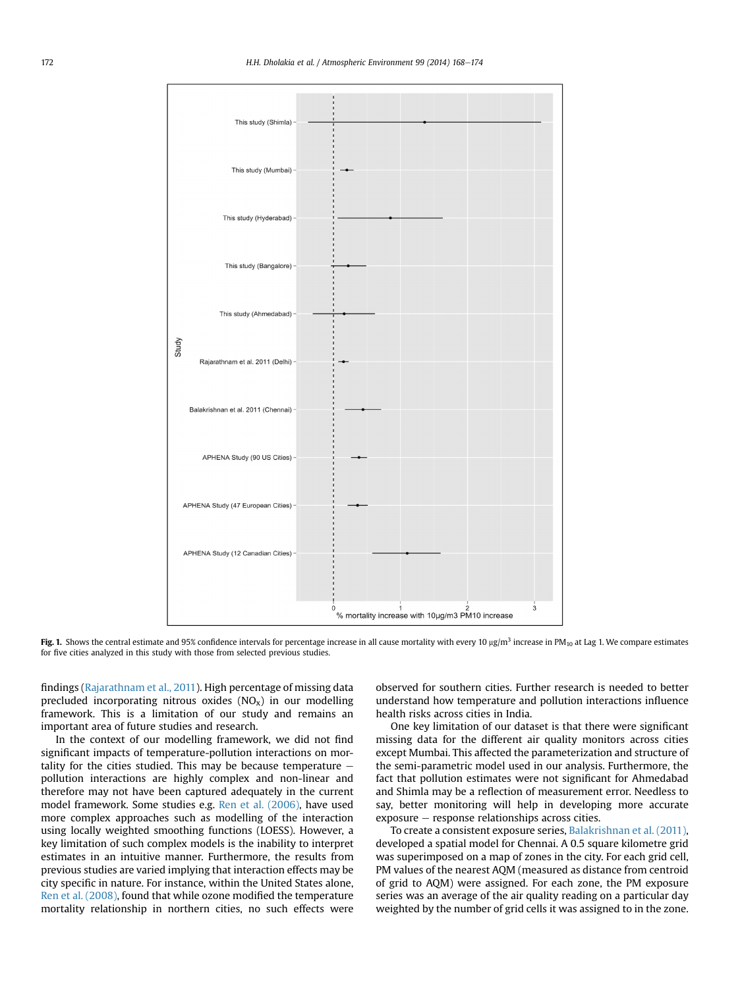<span id="page-4-0"></span>

Fig. 1. Shows the central estimate and 95% confidence intervals for percentage increase in all cause mortality with every 10  $\mu$ g/m<sup>3</sup> increase in PM<sub>10</sub> at Lag 1. We compare estimates for five cities analyzed in this study with those from selected previous studies.

findings [\(Rajarathnam et al., 2011](#page-5-0)). High percentage of missing data precluded incorporating nitrous oxides  $(NO<sub>x</sub>)$  in our modelling framework. This is a limitation of our study and remains an important area of future studies and research.

In the context of our modelling framework, we did not find significant impacts of temperature-pollution interactions on mortality for the cities studied. This may be because temperature  $$ pollution interactions are highly complex and non-linear and therefore may not have been captured adequately in the current model framework. Some studies e.g. [Ren et al. \(2006\)](#page-5-0), have used more complex approaches such as modelling of the interaction using locally weighted smoothing functions (LOESS). However, a key limitation of such complex models is the inability to interpret estimates in an intuitive manner. Furthermore, the results from previous studies are varied implying that interaction effects may be city specific in nature. For instance, within the United States alone, [Ren et al. \(2008\),](#page-5-0) found that while ozone modified the temperature mortality relationship in northern cities, no such effects were observed for southern cities. Further research is needed to better understand how temperature and pollution interactions influence health risks across cities in India.

One key limitation of our dataset is that there were significant missing data for the different air quality monitors across cities except Mumbai. This affected the parameterization and structure of the semi-parametric model used in our analysis. Furthermore, the fact that pollution estimates were not significant for Ahmedabad and Shimla may be a reflection of measurement error. Needless to say, better monitoring will help in developing more accurate  $exposure - response$  response relationships across cities.

To create a consistent exposure series, [Balakrishnan et al. \(2011\)](#page-5-0), developed a spatial model for Chennai. A 0.5 square kilometre grid was superimposed on a map of zones in the city. For each grid cell, PM values of the nearest AQM (measured as distance from centroid of grid to AQM) were assigned. For each zone, the PM exposure series was an average of the air quality reading on a particular day weighted by the number of grid cells it was assigned to in the zone.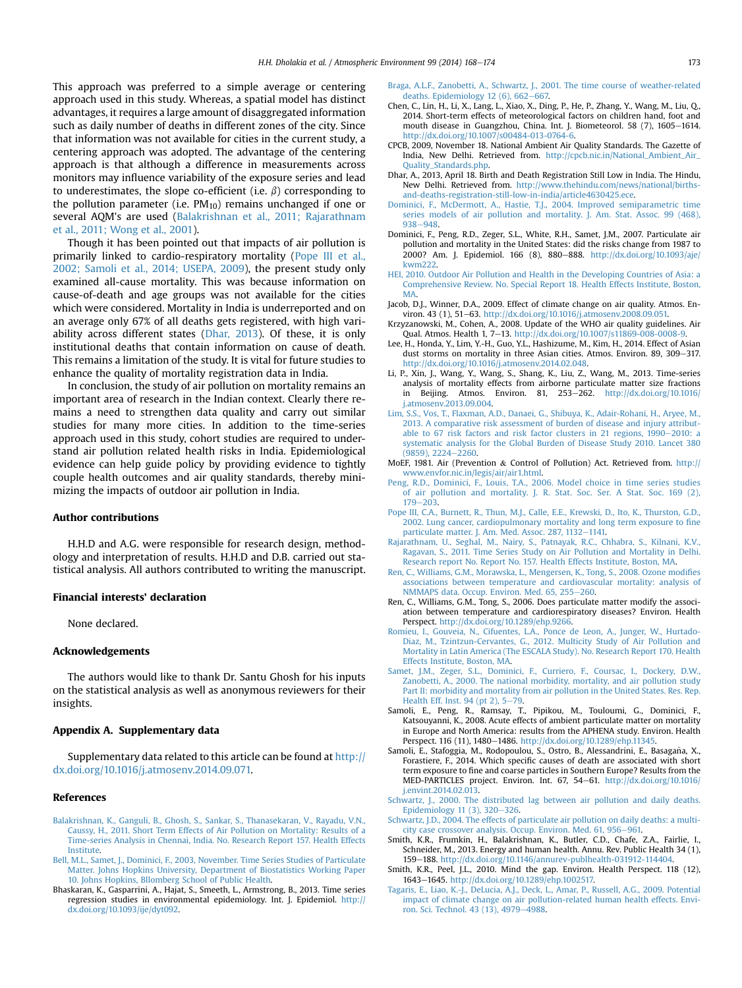<span id="page-5-0"></span>This approach was preferred to a simple average or centering approach used in this study. Whereas, a spatial model has distinct advantages, it requires a large amount of disaggregated information such as daily number of deaths in different zones of the city. Since that information was not available for cities in the current study, a centering approach was adopted. The advantage of the centering approach is that although a difference in measurements across monitors may influence variability of the exposure series and lead to underestimates, the slope co-efficient (i.e.  $\beta$ ) corresponding to the pollution parameter (i.e.  $PM_{10}$ ) remains unchanged if one or several AQM's are used (Balakrishnan et al., 2011; Rajarathnam et al., 2011; Wong et al., 2001).

Though it has been pointed out that impacts of air pollution is primarily linked to cardio-respiratory mortality (Pope III et al., 2002; Samoli et al., 2014; USEPA, 2009), the present study only examined all-cause mortality. This was because information on cause-of-death and age groups was not available for the cities which were considered. Mortality in India is underreported and on an average only 67% of all deaths gets registered, with high variability across different states (Dhar, 2013). Of these, it is only institutional deaths that contain information on cause of death. This remains a limitation of the study. It is vital for future studies to enhance the quality of mortality registration data in India.

In conclusion, the study of air pollution on mortality remains an important area of research in the Indian context. Clearly there remains a need to strengthen data quality and carry out similar studies for many more cities. In addition to the time-series approach used in this study, cohort studies are required to understand air pollution related health risks in India. Epidemiological evidence can help guide policy by providing evidence to tightly couple health outcomes and air quality standards, thereby minimizing the impacts of outdoor air pollution in India.

# Author contributions

H.H.D and A.G. were responsible for research design, methodology and interpretation of results. H.H.D and D.B. carried out statistical analysis. All authors contributed to writing the manuscript.

#### Financial interests' declaration

None declared.

# Acknowledgements

The authors would like to thank Dr. Santu Ghosh for his inputs on the statistical analysis as well as anonymous reviewers for their insights.

# Appendix A. Supplementary data

Supplementary data related to this article can be found at [http://](http://dx.doi.org/10.1016/j.atmosenv.2014.09.071) [dx.doi.org/10.1016/j.atmosenv.2014.09.071.](http://dx.doi.org/10.1016/j.atmosenv.2014.09.071)

# References

- [Balakrishnan, K., Ganguli, B., Ghosh, S., Sankar, S., Thanasekaran, V., Rayadu, V.N.,](http://refhub.elsevier.com/S1352-2310(14)00764-X/sref1) [Caussy, H., 2011. Short Term Effects of Air Pollution on Mortality: Results of a](http://refhub.elsevier.com/S1352-2310(14)00764-X/sref1) [Time-series Analysis in Chennai, India. No. Research Report 157. Health Effects](http://refhub.elsevier.com/S1352-2310(14)00764-X/sref1) [Institute.](http://refhub.elsevier.com/S1352-2310(14)00764-X/sref1)
- [Bell, M.L., Samet, J., Dominici, F., 2003, November. Time Series Studies of Particulate](http://refhub.elsevier.com/S1352-2310(14)00764-X/sref2) [Matter. Johns Hopkins University, Department of Biostatistics Working Paper](http://refhub.elsevier.com/S1352-2310(14)00764-X/sref2) [10. Johns Hopkins, Bllomberg School of Public Health](http://refhub.elsevier.com/S1352-2310(14)00764-X/sref2).
- Bhaskaran, K., Gasparrini, A., Hajat, S., Smeeth, L., Armstrong, B., 2013. Time series regression studies in environmental epidemiology. Int. J. Epidemiol. [http://](http://dx.doi.org/10.1093/ije/dyt092) [dx.doi.org/10.1093/ije/dyt092](http://dx.doi.org/10.1093/ije/dyt092).
- [Braga, A.L.F., Zanobetti, A., Schwartz, J., 2001. The time course of weather-related](http://refhub.elsevier.com/S1352-2310(14)00764-X/sref4) deaths. Epidemiology  $12(6)$ , 662-[667.](http://refhub.elsevier.com/S1352-2310(14)00764-X/sref4)
- Chen, C., Lin, H., Li, X., Lang, L., Xiao, X., Ding, P., He, P., Zhang, Y., Wang, M., Liu, Q., 2014. Short-term effects of meteorological factors on children hand, foot and mouth disease in Guangzhou, China. Int. J. Biometeorol. 58 (7), 1605-1614. [http://dx.doi.org/10.1007/s00484-013-0764-6.](http://dx.doi.org/10.1007/s00484-013-0764-6)
- CPCB, 2009, November 18. National Ambient Air Quality Standards. The Gazette of India, New Delhi. Retrieved from. [http://cpcb.nic.in/National\\_Ambient\\_Air\\_](http://cpcb.nic.in/National_Ambient_Air_Quality_Standards.php) [Quality\\_Standards.php.](http://cpcb.nic.in/National_Ambient_Air_Quality_Standards.php)
- Dhar, A., 2013, April 18. Birth and Death Registration Still Low in India. The Hindu, New Delhi. Retrieved from. [http://www.thehindu.com/news/national/births](http://www.thehindu.com/news/national/births-and-deaths-registration-still-low-in-india/article4630425.ece)[and-deaths-registration-still-low-in-india/article4630425.ece.](http://www.thehindu.com/news/national/births-and-deaths-registration-still-low-in-india/article4630425.ece)
- [Dominici, F., McDermott, A., Hastie, T.J., 2004. Improved semiparametric time](http://refhub.elsevier.com/S1352-2310(14)00764-X/sref8) [series models of air pollution and mortality. J. Am. Stat. Assoc. 99 \(468\),](http://refhub.elsevier.com/S1352-2310(14)00764-X/sref8) [938](http://refhub.elsevier.com/S1352-2310(14)00764-X/sref8)-[948.](http://refhub.elsevier.com/S1352-2310(14)00764-X/sref8)
- Dominici, F., Peng, R.D., Zeger, S.L., White, R.H., Samet, J.M., 2007. Particulate air pollution and mortality in the United States: did the risks change from 1987 to 2000? Am. J. Epidemiol. 166 (8), 880-888. [http://dx.doi.org/10.1093/aje/](http://dx.doi.org/10.1093/aje/kwm222) [kwm222](http://dx.doi.org/10.1093/aje/kwm222).
- [HEI, 2010. Outdoor Air Pollution and Health in the Developing Countries of Asia: a](http://refhub.elsevier.com/S1352-2310(14)00764-X/sref10) [Comprehensive Review. No. Special Report 18. Health Effects Institute, Boston,](http://refhub.elsevier.com/S1352-2310(14)00764-X/sref10) **[MA](http://refhub.elsevier.com/S1352-2310(14)00764-X/sref10)**
- Jacob, D.J., Winner, D.A., 2009. Effect of climate change on air quality. Atmos. Environ. 43 (1), 51-63. [http://dx.doi.org/10.1016/j.atmosenv.2008.09.051.](http://dx.doi.org/10.1016/j.atmosenv.2008.09.051)
- Krzyzanowski, M., Cohen, A., 2008. Update of the WHO air quality guidelines. Air<br>Qual. Atmos. Health 1, 7–13. <http://dx.doi.org/10.1007/s11869-008-0008-9>.
- Lee, H., Honda, Y., Lim, Y.-H., Guo, Y.L., Hashizume, M., Kim, H., 2014. Effect of Asian dust storms on mortality in three Asian cities. Atmos. Environ. 89, 309-317. <http://dx.doi.org/10.1016/j.atmosenv.2014.02.048>.
- Li, P., Xin, J., Wang, Y., Wang, S., Shang, K., Liu, Z., Wang, M., 2013. Time-series analysis of mortality effects from airborne particulate matter size fractions in Beijing. Atmos. Environ. 81, 253-262. [http://dx.doi.org/10.1016/](http://dx.doi.org/10.1016/j.atmosenv.2013.09.004) [j.atmosenv.2013.09.004.](http://dx.doi.org/10.1016/j.atmosenv.2013.09.004)
- [Lim, S.S., Vos, T., Flaxman, A.D., Danaei, G., Shibuya, K., Adair-Rohani, H., Aryee, M.,](http://refhub.elsevier.com/S1352-2310(14)00764-X/sref15) [2013. A comparative risk assessment of burden of disease and injury attribut](http://refhub.elsevier.com/S1352-2310(14)00764-X/sref15)able to  $67$  risk factors and risk factor clusters in  $21$  regions,  $1990-2010$ : a [systematic analysis for the Global Burden of Disease Study 2010. Lancet 380](http://refhub.elsevier.com/S1352-2310(14)00764-X/sref15)  $(9859)$ , 2224-[2260.](http://refhub.elsevier.com/S1352-2310(14)00764-X/sref15)
- MoEF, 1981. Air (Prevention & Control of Pollution) Act. Retrieved from. [http://](http://www.envfor.nic.in/legis/air/air1.html) [www.envfor.nic.in/legis/air/air1.html.](http://www.envfor.nic.in/legis/air/air1.html)
- [Peng, R.D., Dominici, F., Louis, T.A., 2006. Model choice in time series studies](http://refhub.elsevier.com/S1352-2310(14)00764-X/sref17) [of air pollution and mortality. J. R. Stat. Soc. Ser. A Stat. Soc. 169 \(2\),](http://refhub.elsevier.com/S1352-2310(14)00764-X/sref17)  $179 - 203$  $179 - 203$  $179 - 203$ .
- [Pope III, C.A., Burnett, R., Thun, M.J., Calle, E.E., Krewski, D., Ito, K., Thurston, G.D.,](http://refhub.elsevier.com/S1352-2310(14)00764-X/sref18) [2002. Lung cancer, cardiopulmonary mortality and long term exposure to](http://refhub.elsevier.com/S1352-2310(14)00764-X/sref18) fine [particulate matter. J. Am. Med. Assoc. 287, 1132](http://refhub.elsevier.com/S1352-2310(14)00764-X/sref18)-[1141.](http://refhub.elsevier.com/S1352-2310(14)00764-X/sref18)
- [Rajarathnam, U., Seghal, M., Nairy, S., Patnayak, R.C., Chhabra, S., Kilnani, K.V.,](http://refhub.elsevier.com/S1352-2310(14)00764-X/sref19) [Ragavan, S., 2011. Time Series Study on Air Pollution and Mortality in Delhi.](http://refhub.elsevier.com/S1352-2310(14)00764-X/sref19) [Research report No. Report No. 157. Health Effects Institute, Boston, MA](http://refhub.elsevier.com/S1352-2310(14)00764-X/sref19).
- [Ren, C., Williams, G.M., Morawska, L., Mengersen, K., Tong, S., 2008. Ozone modi](http://refhub.elsevier.com/S1352-2310(14)00764-X/sref20)fies [associations between temperature and cardiovascular mortality: analysis of](http://refhub.elsevier.com/S1352-2310(14)00764-X/sref20) [NMMAPS data. Occup. Environ. Med. 65, 255](http://refhub.elsevier.com/S1352-2310(14)00764-X/sref20)-[260](http://refhub.elsevier.com/S1352-2310(14)00764-X/sref20).
- Ren, C., Williams, G.M., Tong, S., 2006. Does particulate matter modify the association between temperature and cardiorespiratory diseases? Environ. Health Perspect. [http://dx.doi.org/10.1289/ehp.9266.](http://dx.doi.org/10.1289/ehp.9266)
- [Romieu, I., Gouveia, N., Cifuentes, L.A., Ponce de Leon, A., Junger, W., Hurtado-](http://refhub.elsevier.com/S1352-2310(14)00764-X/sref22)[Diaz, M., Tzintzun-Cervantes, G., 2012. Multicity Study of Air Pollution and](http://refhub.elsevier.com/S1352-2310(14)00764-X/sref22) [Mortality in Latin America \(The ESCALA Study\). No. Research Report 170. Health](http://refhub.elsevier.com/S1352-2310(14)00764-X/sref22) [Effects Institute, Boston, MA.](http://refhub.elsevier.com/S1352-2310(14)00764-X/sref22)
- [Samet, J.M., Zeger, S.L., Dominici, F., Curriero, F., Coursac, I., Dockery, D.W.,](http://refhub.elsevier.com/S1352-2310(14)00764-X/sref23) [Zanobetti, A., 2000. The national morbidity, mortality, and air pollution study](http://refhub.elsevier.com/S1352-2310(14)00764-X/sref23) [Part II: morbidity and mortality from air pollution in the United States. Res. Rep.](http://refhub.elsevier.com/S1352-2310(14)00764-X/sref23) [Health Eff. Inst. 94 \(pt 2\), 5](http://refhub.elsevier.com/S1352-2310(14)00764-X/sref23)-[79](http://refhub.elsevier.com/S1352-2310(14)00764-X/sref23).
- Samoli, E., Peng, R., Ramsay, T., Pipikou, M., Touloumi, G., Dominici, F., Katsouyanni, K., 2008. Acute effects of ambient particulate matter on mortality in Europe and North America: results from the APHENA study. Environ. Health Perspect. 116 (11), 1480-1486. [http://dx.doi.org/10.1289/ehp.11345.](http://dx.doi.org/10.1289/ehp.11345)
- Samoli, E., Stafoggia, M., Rodopoulou, S., Ostro, B., Alessandrini, E., Basagaña, X., Forastiere, F., 2014. Which specific causes of death are associated with short term exposure to fine and coarse particles in Southern Europe? Results from the MED-PARTICLES project. Environ. Int. 67, 54-61. [http://dx.doi.org/10.1016/](http://dx.doi.org/10.1016/j.envint.2014.02.013) [j.envint.2014.02.013.](http://dx.doi.org/10.1016/j.envint.2014.02.013)
- [Schwartz, J., 2000. The distributed lag between air pollution and daily deaths.](http://refhub.elsevier.com/S1352-2310(14)00764-X/sref26) [Epidemiology 11 \(3\), 320](http://refhub.elsevier.com/S1352-2310(14)00764-X/sref26)-[326](http://refhub.elsevier.com/S1352-2310(14)00764-X/sref26).
- [Schwartz, J.D., 2004. The effects of particulate air pollution on daily deaths: a multi](http://refhub.elsevier.com/S1352-2310(14)00764-X/sref27)[city case crossover analysis. Occup. Environ. Med. 61, 956](http://refhub.elsevier.com/S1352-2310(14)00764-X/sref27)-[961.](http://refhub.elsevier.com/S1352-2310(14)00764-X/sref27)
- Smith, K.R., Frumkin, H., Balakrishnan, K., Butler, C.D., Chafe, Z.A., Fairlie, I., Schneider, M., 2013. Energy and human health. Annu. Rev. Public Health 34 (1), 159-188. [http://dx.doi.org/10.1146/annurev-publhealth-031912-114404.](http://dx.doi.org/10.1146/annurev-publhealth-031912-114404)
- Smith, K.R., Peel, J.L., 2010. Mind the gap. Environ. Health Perspect. 118 (12), 1643e1645. [http://dx.doi.org/10.1289/ehp.1002517.](http://dx.doi.org/10.1289/ehp.1002517)
- [Tagaris, E., Liao, K.-J., DeLucia, A.J., Deck, L., Amar, P., Russell, A.G., 2009. Potential](http://refhub.elsevier.com/S1352-2310(14)00764-X/sref30) [impact of climate change on air pollution-related human health effects. Envi](http://refhub.elsevier.com/S1352-2310(14)00764-X/sref30)[ron. Sci. Technol. 43 \(13\), 4979](http://refhub.elsevier.com/S1352-2310(14)00764-X/sref30)-[4988.](http://refhub.elsevier.com/S1352-2310(14)00764-X/sref30)